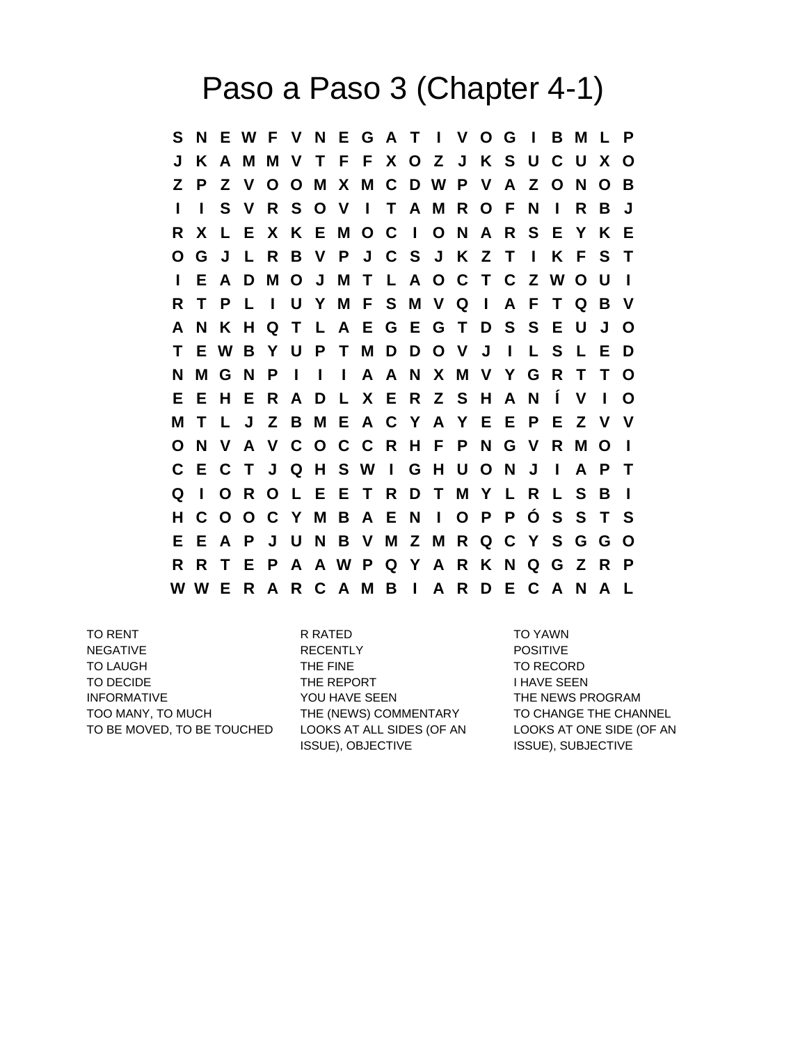## Paso a Paso 3 (Chapter 4-1)

**S N E W F V N E G A T I V O G I B M L P J K A M M V T F F X O Z J K S U C U X O Z P Z V O O M X M C D W P V A Z O N O B I I S V R S O V I T A M R O F N I R B J R X L E X K E M O C I O N A R S E Y K E O G J L R B V P J C S J K Z T I K F S T I E A D M O J M T L A O C T C Z W O U I R T P L I U Y M F S M V Q I A F T Q B V A N K H Q T L A E G E G T D S S E U J O T E W B Y U P T M D D O V J I L S L E D N M G N P I I I A A N X M V Y G R T T O E E H E R A D L X E R Z S H A N Í V I O M T L J Z B M E A C Y A Y E E P E Z V V O N V A V C O C C R H F P N G V R M O I C E C T J Q H S W I G H U O N J I A P T Q I O R O L E E T R D T M Y L R L S B I H C O O C Y M B A E N I O P P Ó S S T S E E A P J U N B V M Z M R Q C Y S G G O R R T E P A A W P Q Y A R K N Q G Z R P W W E R A R C A M B I A R D E C A N A L**

TO RENT TO RENT RESERVE TO YAWN TO YAWN NEGATIVE **RECENTLY RECENTLY POSITIVE** TO LAUGH THE FINE TO RECORD THE FINE TO DECIDE THE REPORT THE REPORT I HAVE SEEN INFORMATIVE THE NEWS PROGRAM THE NEWS PROGRAM TOO MANY, TO MUCH THE (NEWS) COMMENTARY TO CHANGE THE CHANNEL TO BE MOVED, TO BE TOUCHED LOOKS AT ALL SIDES (OF AN

ISSUE), OBJECTIVE

LOOKS AT ONE SIDE (OF AN ISSUE), SUBJECTIVE